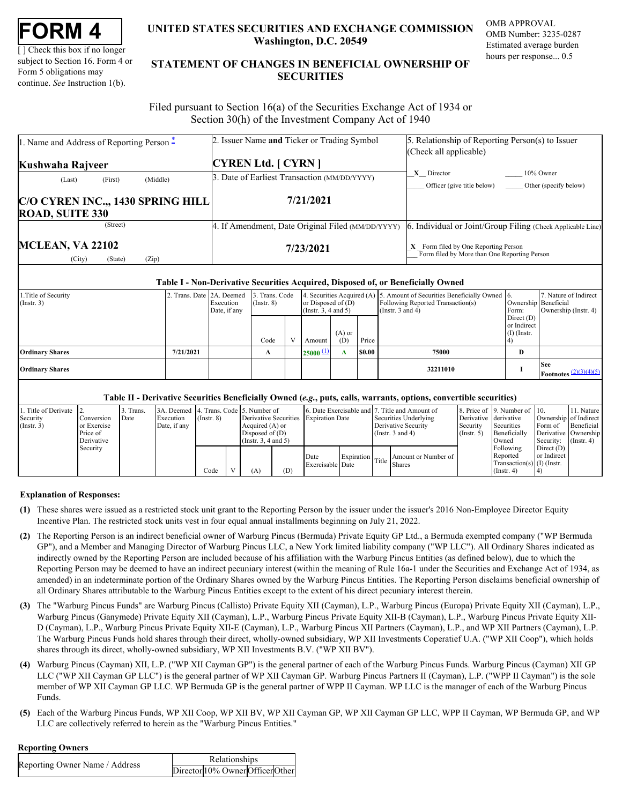| FORM |  |
|------|--|
|------|--|

[ ] Check this box if no longer subject to Section 16. Form 4 or Form 5 obligations may continue. *See* Instruction 1(b).

## **UNITED STATES SECURITIES AND EXCHANGE COMMISSION OMB APPROVAL Washington, D.C. 20549**

OMB Number: 3235-0287 Estimated average burden hours per response... 0.5

# **UNITED STATES SECURITIES AND EXCHANGE COMMISSION**<br>
UNITED STATES SECURITIES AND EXCHANGE COMMISSION<br>
UNERSITY OF SUBJECT AND THE STATEMENT OF CHANGES IN BENEFICIAL OWNERSHIP OF<br>
Form 5 obligations may<br>
continue. See Instr **STATEMENT OF CHANGES IN BENEFICIAL OWNERSHIP OF SECURITIES** TATES SECURITIES AND EXCHANGE COMMISSION OMB APPROVAL<br>Washington, D.C. 20549<br>Estimated average burden<br>ENT OF CHANGES IN BENEFICIAL OWNERSHIP OF<br>SECURITIES

 Filed pursuant to Section 16(a) of the Securities Exchange Act of 1934 or Section 30(h) of the Investment Company Act of 1940

| 1. Name and Address of Reporting Person <sup>*</sup>        | 2. Issuer Name and Ticker or Trading Symbol       | 5. Relationship of Reporting Person(s) to Issuer                                       |
|-------------------------------------------------------------|---------------------------------------------------|----------------------------------------------------------------------------------------|
| Kushwaha Rajveer                                            | <b>CYREN Ltd.</b> [ CYRN ]                        | (Check all applicable)                                                                 |
| (Middle)<br>(First)<br>(Last)                               | 3. Date of Earliest Transaction (MM/DD/YYYY)      | X Director<br>10% Owner<br>Other (specify below)<br>Officer (give title below)         |
| C/O CYREN INC.,, 1430 SPRING HILL<br><b>ROAD, SUITE 330</b> | 7/21/2021                                         |                                                                                        |
| (Street)                                                    | 4. If Amendment, Date Original Filed (MM/DD/YYYY) | Individual or Joint/Group Filing (Check Applicable Line)                               |
| <b>MCLEAN, VA 22102</b><br>(Zip)<br>(State)<br>(City)       | 7/23/2021                                         | $X$ Form filed by One Reporting Person<br>Form filed by More than One Reporting Person |

#### **Table I - Non-Derivative Securities Acquired, Disposed of, or Beneficially Owned**

| 1. Title of Security<br>$($ Instr. 3 $)$ | 2. Trans. Date 2A. Deemed | Execution<br>Date, if any | 3. Trans. Code<br>$($ Instr. $8)$ |  | or Disposed of $(D)$<br>$($ Instr. 3, 4 and 5 $)$ |                 |        | 4. Securities Acquired (A) 5. Amount of Securities Beneficially Owned 6.<br>Following Reported Transaction(s)<br>(Instr. $3$ and $4$ ) | Ownership Beneficial<br>Form:                | 7. Nature of Indirect<br>Ownership (Instr. 4)    |
|------------------------------------------|---------------------------|---------------------------|-----------------------------------|--|---------------------------------------------------|-----------------|--------|----------------------------------------------------------------------------------------------------------------------------------------|----------------------------------------------|--------------------------------------------------|
|                                          |                           |                           | Code                              |  | Amount                                            | $(A)$ or<br>(D) | Price  |                                                                                                                                        | Direct $(D)$<br>or Indirect<br>$(I)$ (Instr. |                                                  |
| <b>Ordinary Shares</b>                   | 7/21/2021                 |                           |                                   |  | $25000 \pm 1$                                     |                 | \$0.00 | 75000                                                                                                                                  | D                                            |                                                  |
| <b>Ordinary Shares</b>                   |                           |                           |                                   |  |                                                   |                 |        | 32211010                                                                                                                               |                                              | <b>See</b><br>Footnotes $\frac{(2)(3)(4)(5)}{2}$ |

## **Table II - Derivative Securities Beneficially Owned (***e.g.***, puts, calls, warrants, options, convertible securities)**

|             | 1. Title of Derivate 2. |             | Trans. | 3A. Deemed 4. Trans. Code 5. Number of |                  |                     |     |                                       |  | 6. Date Exercisable and 7. Title and Amount of |                       | 8. Price of 19. Number of 10. |              | 11. Nature                    |
|-------------|-------------------------|-------------|--------|----------------------------------------|------------------|---------------------|-----|---------------------------------------|--|------------------------------------------------|-----------------------|-------------------------------|--------------|-------------------------------|
| Security    |                         | Conversion  | Date   | Execution                              | $($ Instr. 8 $)$ |                     |     | Derivative Securities Expiration Date |  | Securities Underlying                          | Derivative derivative |                               |              | Ownership of Indirect         |
| (Insert. 3) |                         | or Exercise |        | Date, if any                           |                  | Acquired $(A)$ or   |     |                                       |  | Derivative Security                            | Security              | Securities                    |              | Form of Beneficial            |
|             |                         | Price of    |        |                                        |                  | Disposed of (D)     |     |                                       |  | (Instr. $3$ and $4$ )                          | $($ Instr. 5 $)$      | Beneficially                  |              | Derivative Ownership          |
|             |                         | Derivative  |        |                                        |                  | (Insert. 3.4 and 5) |     |                                       |  |                                                |                       | Owned                         |              | Security: $(\text{Instr. 4})$ |
|             |                         | Security    |        |                                        |                  |                     |     |                                       |  |                                                |                       | Following                     | Direct $(D)$ |                               |
|             |                         |             |        |                                        |                  |                     |     | Date                                  |  |                                                |                       | Reported                      | or Indirect  |                               |
|             |                         |             |        |                                        |                  |                     |     | Exercisable Date                      |  | Expiration Title Amount or Number of Bate      |                       | Transaction(s) $(I)$ (Instr.  |              |                               |
|             |                         |             |        |                                        | Code             | A)                  | (D) |                                       |  |                                                |                       | $($ Instr. 4 $)$              |              |                               |

### **Explanation of Responses:**

- <span id="page-0-0"></span>**(1)** These shares were issued as a restricted stock unit grant to the Reporting Person by the issuer under the issuer's 2016 Non-Employee Director Equity Incentive Plan. The restricted stock units vest in four equal annual installments beginning on July 21, 2022.
- <span id="page-0-1"></span>**(2)** The Reporting Person is an indirect beneficial owner of Warburg Pincus (Bermuda) Private Equity GP Ltd., a Bermuda exempted company ("WP Bermuda GP"), and a Member and Managing Director of Warburg Pincus LLC, a New York limited liability company ("WP LLC"). All Ordinary Shares indicated as indirectly owned by the Reporting Person are included because of his affiliation with the Warburg Pincus Entities (as defined below), due to which the Reporting Person may be deemed to have an indirect pecuniary interest (within the meaning of Rule 16a-1 under the Securities and Exchange Act of 1934, as amended) in an indeterminate portion of the Ordinary Shares owned by the Warburg Pincus Entities. The Reporting Person disclaims beneficial ownership of all Ordinary Shares attributable to the Warburg Pincus Entities except to the extent of his direct pecuniary interest therein.
- <span id="page-0-2"></span>**(3)** The "Warburg Pincus Funds" are Warburg Pincus (Callisto) Private Equity XII (Cayman), L.P., Warburg Pincus (Europa) Private Equity XII (Cayman), L.P., Warburg Pincus (Ganymede) Private Equity XII (Cayman), L.P., Warburg Pincus Private Equity XII-B (Cayman), L.P., Warburg Pincus Private Equity XII-D (Cayman), L.P., Warburg Pincus Private Equity XII-E (Cayman), L.P., Warburg Pincus XII Partners (Cayman), L.P., and WP XII Partners (Cayman), L.P. The Warburg Pincus Funds hold shares through their direct, wholly-owned subsidiary, WP XII Investments Coperatief U.A. ("WP XII Coop"), which holds shares through its direct, wholly-owned subsidiary, WP XII Investments B.V. ("WP XII BV").
- <span id="page-0-3"></span>**(4)** Warburg Pincus (Cayman) XII, L.P. ("WP XII Cayman GP") is the general partner of each of the Warburg Pincus Funds. Warburg Pincus (Cayman) XII GP LLC ("WP XII Cayman GP LLC") is the general partner of WP XII Cayman GP. Warburg Pincus Partners II (Cayman), L.P. ("WPP II Cayman") is the sole member of WP XII Cayman GP LLC. WP Bermuda GP is the general partner of WPP II Cayman. WP LLC is the manager of each of the Warburg Pincus Funds.
- <span id="page-0-4"></span>**(5)** Each of the Warburg Pincus Funds, WP XII Coop, WP XII BV, WP XII Cayman GP, WP XII Cayman GP LLC, WPP II Cayman, WP Bermuda GP, and WP LLC are collectively referred to herein as the "Warburg Pincus Entities."

### **Reporting Owners**

| Reporting Owner Name / Address | Relationships                    |  |
|--------------------------------|----------------------------------|--|
|                                | Director 10% Owner Officer Other |  |